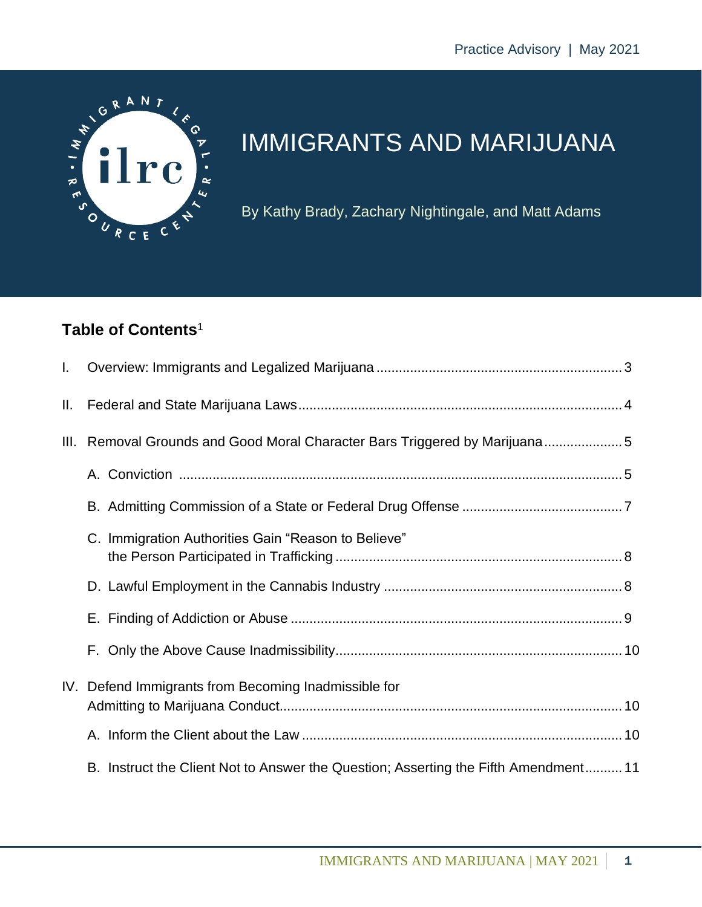

# IMMIGRANTS AND MARIJUANA

By Kathy Brady, Zachary Nightingale, and Matt Adams

# **Table of Contents**<sup>1</sup>

| L. |                                                                                     |  |
|----|-------------------------------------------------------------------------------------|--|
| Ш. |                                                                                     |  |
|    | III. Removal Grounds and Good Moral Character Bars Triggered by Marijuana5          |  |
|    |                                                                                     |  |
|    |                                                                                     |  |
|    | C. Immigration Authorities Gain "Reason to Believe"                                 |  |
|    |                                                                                     |  |
|    |                                                                                     |  |
|    |                                                                                     |  |
|    | IV. Defend Immigrants from Becoming Inadmissible for                                |  |
|    |                                                                                     |  |
|    | B. Instruct the Client Not to Answer the Question; Asserting the Fifth Amendment 11 |  |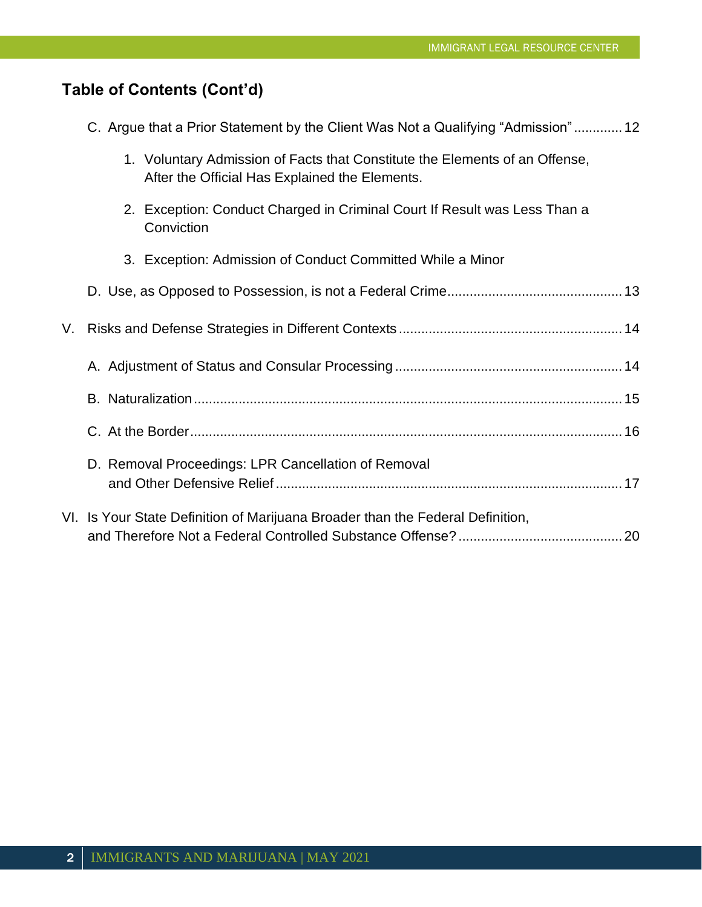# **Table of Contents (Cont'd)**

| C. Argue that a Prior Statement by the Client Was Not a Qualifying "Admission" 12 |  |  |
|-----------------------------------------------------------------------------------|--|--|
|                                                                                   |  |  |

| 1. Voluntary Admission of Facts that Constitute the Elements of an Offense, |
|-----------------------------------------------------------------------------|
| After the Official Has Explained the Elements.                              |

- 2. Exception: Conduct Charged in Criminal Court If Result was Less Than a **Conviction**
- 3. Exception: Admission of Conduct Committed While a Minor

| D. Removal Proceedings: LPR Cancellation of Removal                            |  |
|--------------------------------------------------------------------------------|--|
| VI. Is Your State Definition of Marijuana Broader than the Federal Definition, |  |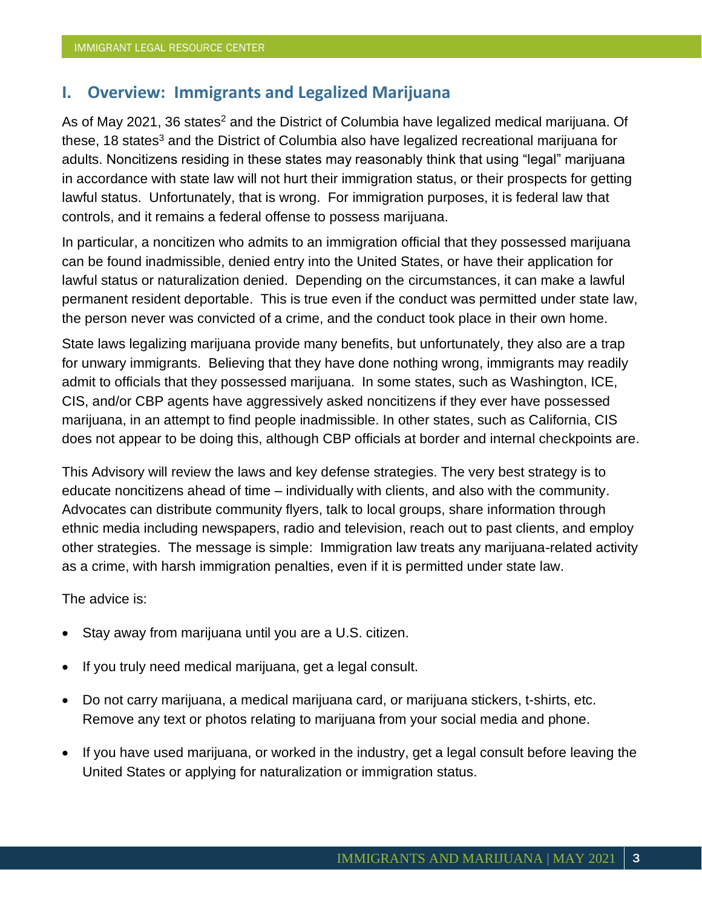## **I. Overview: Immigrants and Legalized Marijuana**

As of May 2021, 36 states<sup>2</sup> and the District of Columbia have legalized medical marijuana. Of these, 18 states<sup>3</sup> and the District of Columbia also have legalized recreational marijuana for adults. Noncitizens residing in these states may reasonably think that using "legal" marijuana in accordance with state law will not hurt their immigration status, or their prospects for getting lawful status. Unfortunately, that is wrong. For immigration purposes, it is federal law that controls, and it remains a federal offense to possess marijuana.

In particular, a noncitizen who admits to an immigration official that they possessed marijuana can be found inadmissible, denied entry into the United States, or have their application for lawful status or naturalization denied. Depending on the circumstances, it can make a lawful permanent resident deportable. This is true even if the conduct was permitted under state law, the person never was convicted of a crime, and the conduct took place in their own home.

State laws legalizing marijuana provide many benefits, but unfortunately, they also are a trap for unwary immigrants. Believing that they have done nothing wrong, immigrants may readily admit to officials that they possessed marijuana. In some states, such as Washington, ICE, CIS, and/or CBP agents have aggressively asked noncitizens if they ever have possessed marijuana, in an attempt to find people inadmissible. In other states, such as California, CIS does not appear to be doing this, although CBP officials at border and internal checkpoints are.

This Advisory will review the laws and key defense strategies. The very best strategy is to educate noncitizens ahead of time – individually with clients, and also with the community. Advocates can distribute community flyers, talk to local groups, share information through ethnic media including newspapers, radio and television, reach out to past clients, and employ other strategies. The message is simple: Immigration law treats any marijuana-related activity as a crime, with harsh immigration penalties, even if it is permitted under state law.

The advice is:

- Stay away from marijuana until you are a U.S. citizen.
- If you truly need medical marijuana, get a legal consult.
- Do not carry marijuana, a medical marijuana card, or marijuana stickers, t-shirts, etc. Remove any text or photos relating to marijuana from your social media and phone.
- If you have used marijuana, or worked in the industry, get a legal consult before leaving the United States or applying for naturalization or immigration status.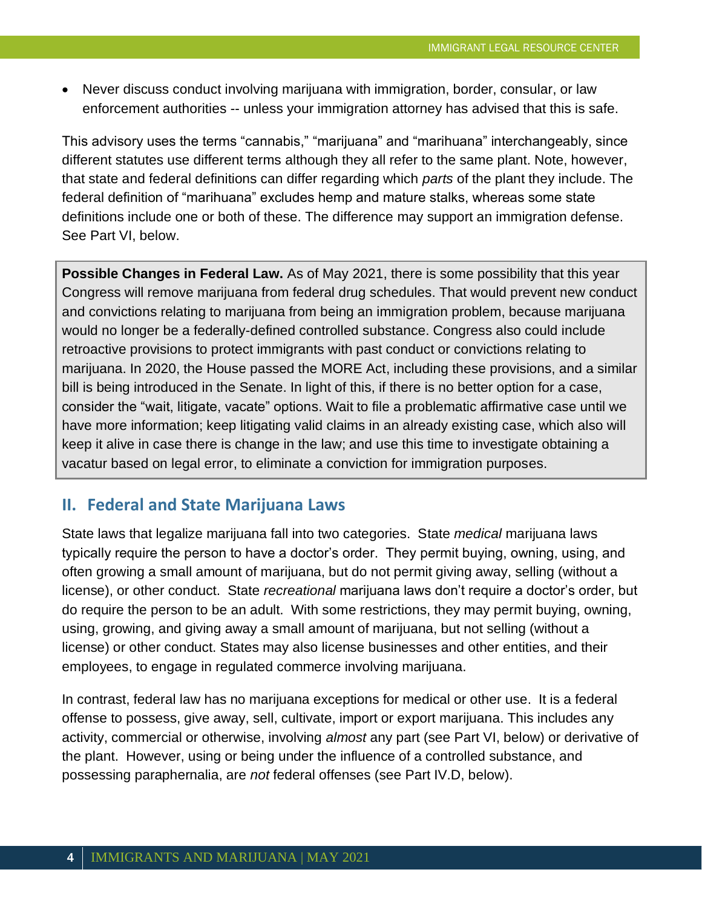• Never discuss conduct involving marijuana with immigration, border, consular, or law enforcement authorities -- unless your immigration attorney has advised that this is safe.

This advisory uses the terms "cannabis," "marijuana" and "marihuana" interchangeably, since different statutes use different terms although they all refer to the same plant. Note, however, that state and federal definitions can differ regarding which *parts* of the plant they include. The federal definition of "marihuana" excludes hemp and mature stalks, whereas some state definitions include one or both of these. The difference may support an immigration defense. See Part VI, below.

**Possible Changes in Federal Law.** As of May 2021, there is some possibility that this year Congress will remove marijuana from federal drug schedules. That would prevent new conduct and convictions relating to marijuana from being an immigration problem, because marijuana would no longer be a federally-defined controlled substance. Congress also could include retroactive provisions to protect immigrants with past conduct or convictions relating to marijuana. In 2020, the House passed the MORE Act, including these provisions, and a similar bill is being introduced in the Senate. In light of this, if there is no better option for a case, consider the "wait, litigate, vacate" options. Wait to file a problematic affirmative case until we have more information; keep litigating valid claims in an already existing case, which also will keep it alive in case there is change in the law; and use this time to investigate obtaining a vacatur based on legal error, to eliminate a conviction for immigration purposes.

## **II. Federal and State Marijuana Laws**

State laws that legalize marijuana fall into two categories. State *medical* marijuana laws typically require the person to have a doctor's order. They permit buying, owning, using, and often growing a small amount of marijuana, but do not permit giving away, selling (without a license), or other conduct. State *recreational* marijuana laws don't require a doctor's order, but do require the person to be an adult. With some restrictions, they may permit buying, owning, using, growing, and giving away a small amount of marijuana, but not selling (without a license) or other conduct. States may also license businesses and other entities, and their employees, to engage in regulated commerce involving marijuana.

In contrast, federal law has no marijuana exceptions for medical or other use. It is a federal offense to possess, give away, sell, cultivate, import or export marijuana. This includes any activity, commercial or otherwise, involving *almost* any part (see Part VI, below) or derivative of the plant. However, using or being under the influence of a controlled substance, and possessing paraphernalia, are *not* federal offenses (see Part IV.D, below).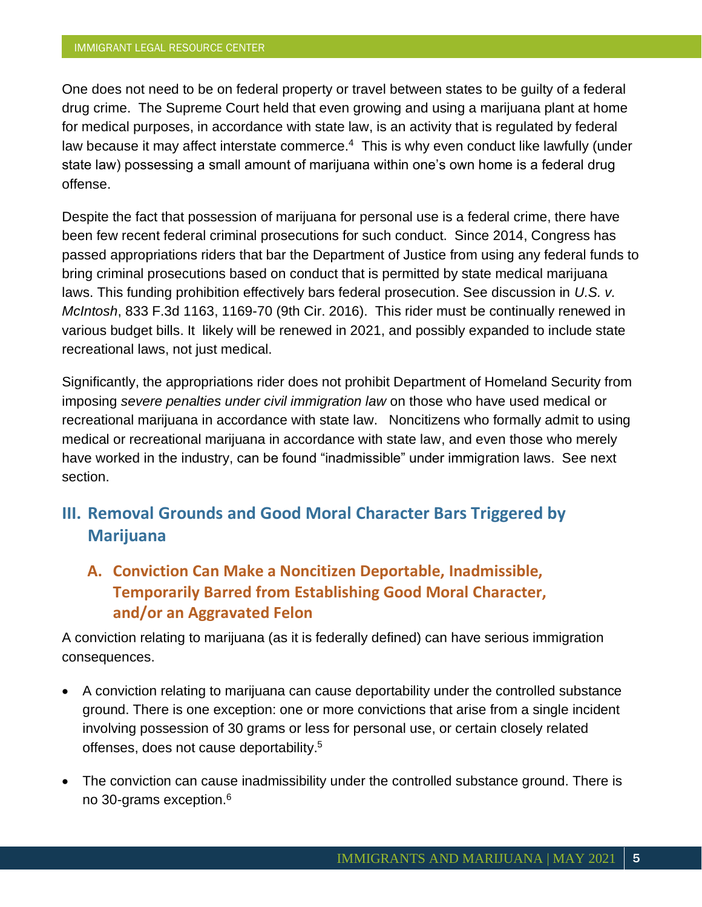One does not need to be on federal property or travel between states to be guilty of a federal drug crime. The Supreme Court held that even growing and using a marijuana plant at home for medical purposes, in accordance with state law, is an activity that is regulated by federal law because it may affect interstate commerce. $4$  This is why even conduct like lawfully (under state law) possessing a small amount of marijuana within one's own home is a federal drug offense.

Despite the fact that possession of marijuana for personal use is a federal crime, there have been few recent federal criminal prosecutions for such conduct. Since 2014, Congress has passed appropriations riders that bar the Department of Justice from using any federal funds to bring criminal prosecutions based on conduct that is permitted by state medical marijuana laws. This funding prohibition effectively bars federal prosecution. See discussion in *U.S. v. McIntosh*, 833 F.3d 1163, 1169-70 (9th Cir. 2016). This rider must be continually renewed in various budget bills. It likely will be renewed in 2021, and possibly expanded to include state recreational laws, not just medical.

Significantly, the appropriations rider does not prohibit Department of Homeland Security from imposing *severe penalties under civil immigration law* on those who have used medical or recreational marijuana in accordance with state law. Noncitizens who formally admit to using medical or recreational marijuana in accordance with state law, and even those who merely have worked in the industry, can be found "inadmissible" under immigration laws. See next section.

# **III. Removal Grounds and Good Moral Character Bars Triggered by Marijuana**

# **A. Conviction Can Make a Noncitizen Deportable, Inadmissible, Temporarily Barred from Establishing Good Moral Character, and/or an Aggravated Felon**

A conviction relating to marijuana (as it is federally defined) can have serious immigration consequences.

- A conviction relating to marijuana can cause deportability under the controlled substance ground. There is one exception: one or more convictions that arise from a single incident involving possession of 30 grams or less for personal use, or certain closely related offenses, does not cause deportability.<sup>5</sup>
- The conviction can cause inadmissibility under the controlled substance ground. There is no 30-grams exception.<sup>6</sup>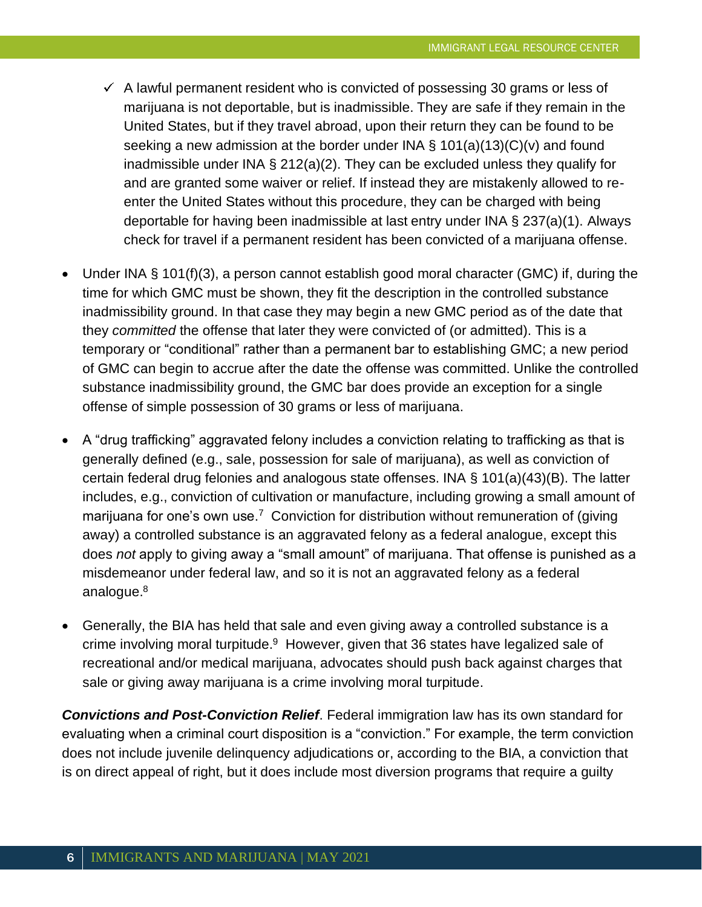- $\checkmark$  A lawful permanent resident who is convicted of possessing 30 grams or less of marijuana is not deportable, but is inadmissible. They are safe if they remain in the United States, but if they travel abroad, upon their return they can be found to be seeking a new admission at the border under INA  $\S$  101(a)(13)(C)(v) and found inadmissible under INA § 212(a)(2). They can be excluded unless they qualify for and are granted some waiver or relief. If instead they are mistakenly allowed to reenter the United States without this procedure, they can be charged with being deportable for having been inadmissible at last entry under INA § 237(a)(1). Always check for travel if a permanent resident has been convicted of a marijuana offense.
- Under INA § 101(f)(3), a person cannot establish good moral character (GMC) if, during the time for which GMC must be shown, they fit the description in the controlled substance inadmissibility ground. In that case they may begin a new GMC period as of the date that they *committed* the offense that later they were convicted of (or admitted). This is a temporary or "conditional" rather than a permanent bar to establishing GMC; a new period of GMC can begin to accrue after the date the offense was committed. Unlike the controlled substance inadmissibility ground, the GMC bar does provide an exception for a single offense of simple possession of 30 grams or less of marijuana.
- A "drug trafficking" aggravated felony includes a conviction relating to trafficking as that is generally defined (e.g., sale, possession for sale of marijuana), as well as conviction of certain federal drug felonies and analogous state offenses. INA § 101(a)(43)(B). The latter includes, e.g., conviction of cultivation or manufacture, including growing a small amount of marijuana for one's own use.<sup>7</sup> Conviction for distribution without remuneration of (giving away) a controlled substance is an aggravated felony as a federal analogue, except this does *not* apply to giving away a "small amount" of marijuana. That offense is punished as a misdemeanor under federal law, and so it is not an aggravated felony as a federal analogue.<sup>8</sup>
- Generally, the BIA has held that sale and even giving away a controlled substance is a crime involving moral turpitude.<sup>9</sup> However, given that 36 states have legalized sale of recreational and/or medical marijuana, advocates should push back against charges that sale or giving away marijuana is a crime involving moral turpitude.

*Convictions and Post-Conviction Relief*. Federal immigration law has its own standard for evaluating when a criminal court disposition is a "conviction." For example, the term conviction does not include juvenile delinquency adjudications or, according to the BIA, a conviction that is on direct appeal of right, but it does include most diversion programs that require a guilty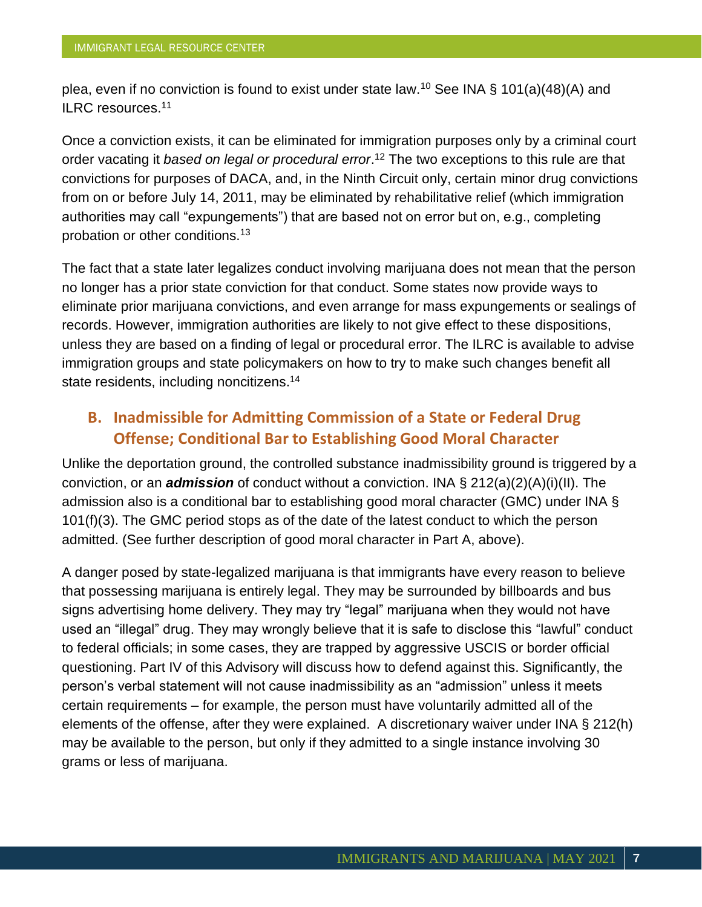plea, even if no conviction is found to exist under state law.<sup>10</sup> See INA § 101(a)(48)(A) and ILRC resources.<sup>11</sup>

Once a conviction exists, it can be eliminated for immigration purposes only by a criminal court order vacating it *based on legal or procedural error*. <sup>12</sup> The two exceptions to this rule are that convictions for purposes of DACA, and, in the Ninth Circuit only, certain minor drug convictions from on or before July 14, 2011, may be eliminated by rehabilitative relief (which immigration authorities may call "expungements") that are based not on error but on, e.g., completing probation or other conditions.<sup>13</sup>

The fact that a state later legalizes conduct involving marijuana does not mean that the person no longer has a prior state conviction for that conduct. Some states now provide ways to eliminate prior marijuana convictions, and even arrange for mass expungements or sealings of records. However, immigration authorities are likely to not give effect to these dispositions, unless they are based on a finding of legal or procedural error. The ILRC is available to advise immigration groups and state policymakers on how to try to make such changes benefit all state residents, including noncitizens.<sup>14</sup>

## **B. Inadmissible for Admitting Commission of a State or Federal Drug Offense; Conditional Bar to Establishing Good Moral Character**

Unlike the deportation ground, the controlled substance inadmissibility ground is triggered by a conviction, or an *admission* of conduct without a conviction. INA § 212(a)(2)(A)(i)(II). The admission also is a conditional bar to establishing good moral character (GMC) under INA § 101(f)(3). The GMC period stops as of the date of the latest conduct to which the person admitted. (See further description of good moral character in Part A, above).

A danger posed by state-legalized marijuana is that immigrants have every reason to believe that possessing marijuana is entirely legal. They may be surrounded by billboards and bus signs advertising home delivery. They may try "legal" marijuana when they would not have used an "illegal" drug. They may wrongly believe that it is safe to disclose this "lawful" conduct to federal officials; in some cases, they are trapped by aggressive USCIS or border official questioning. Part IV of this Advisory will discuss how to defend against this. Significantly, the person's verbal statement will not cause inadmissibility as an "admission" unless it meets certain requirements – for example, the person must have voluntarily admitted all of the elements of the offense, after they were explained. A discretionary waiver under INA § 212(h) may be available to the person, but only if they admitted to a single instance involving 30 grams or less of marijuana.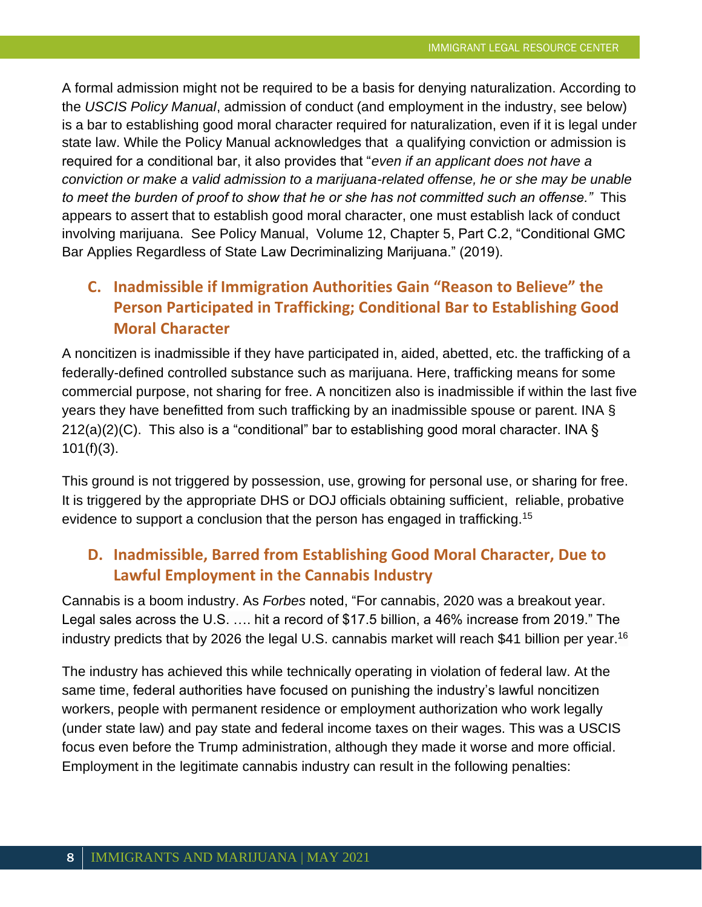A formal admission might not be required to be a basis for denying naturalization. According to the *USCIS Policy Manual*, admission of conduct (and employment in the industry, see below) is a bar to establishing good moral character required for naturalization, even if it is legal under state law. While the Policy Manual acknowledges that a qualifying conviction or admission is required for a conditional bar, it also provides that "*even if an applicant does not have a conviction or make a valid admission to a marijuana-related offense, he or she may be unable to meet the burden of proof to show that he or she has not committed such an offense."* This appears to assert that to establish good moral character, one must establish lack of conduct involving marijuana. See Policy Manual, [Volume 12, Chapter 5,](https://www.uscis.gov/policy-manual/volume-12-part-f-chapter-5) Part C.2, "Conditional GMC Bar Applies Regardless of State Law Decriminalizing Marijuana." (2019).

# **C. Inadmissible if Immigration Authorities Gain "Reason to Believe" the Person Participated in Trafficking; Conditional Bar to Establishing Good Moral Character**

A noncitizen is inadmissible if they have participated in, aided, abetted, etc. the trafficking of a federally-defined controlled substance such as marijuana. Here, trafficking means for some commercial purpose, not sharing for free. A noncitizen also is inadmissible if within the last five years they have benefitted from such trafficking by an inadmissible spouse or parent. INA §  $212(a)(2)(C)$ . This also is a "conditional" bar to establishing good moral character. INA §  $101(f)(3)$ .

This ground is not triggered by possession, use, growing for personal use, or sharing for free. It is triggered by the appropriate DHS or DOJ officials obtaining sufficient, reliable, probative evidence to support a conclusion that the person has engaged in trafficking.<sup>15</sup>

# **D. Inadmissible, Barred from Establishing Good Moral Character, Due to Lawful Employment in the Cannabis Industry**

Cannabis is a boom industry. As *Forbes* noted, "For cannabis, 2020 was a breakout year. Legal sales across the U.S. …. hit a record of \$17.5 billion, a 46% increase from 2019." The industry predicts that by 2026 the legal U.S. cannabis market will reach \$41 billion per year.<sup>16</sup>

The industry has achieved this while technically operating in violation of federal law. At the same time, federal authorities have focused on punishing the industry's lawful noncitizen workers, people with permanent residence or employment authorization who work legally (under state law) and pay state and federal income taxes on their wages. This was a USCIS focus even before the Trump administration, although they made it worse and more official. Employment in the legitimate cannabis industry can result in the following penalties: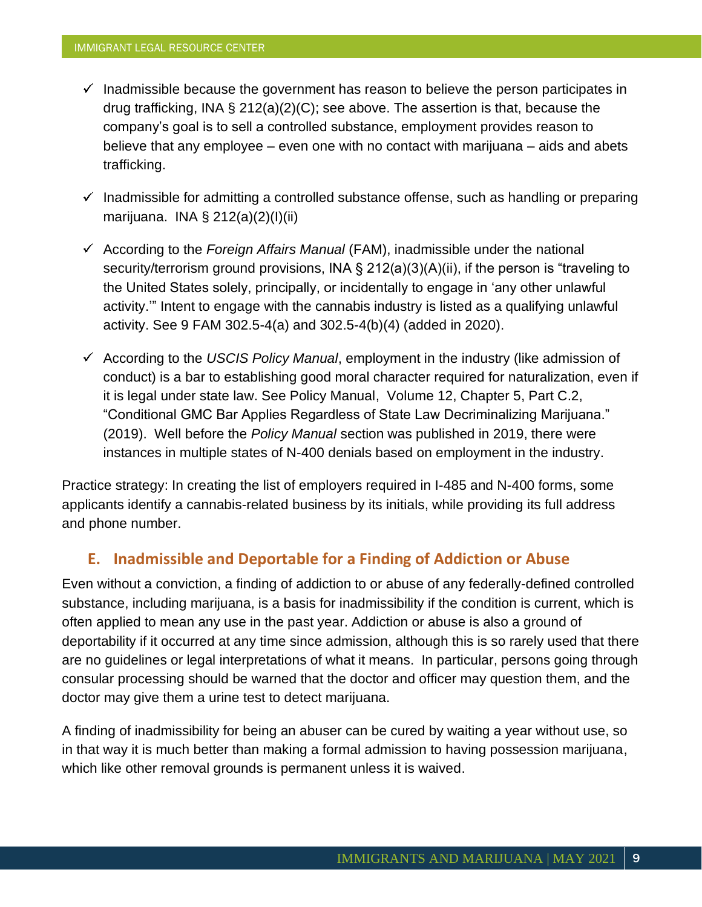- $\checkmark$  Inadmissible because the government has reason to believe the person participates in drug trafficking, INA § 212(a)(2)(C); see above. The assertion is that, because the company's goal is to sell a controlled substance, employment provides reason to believe that any employee – even one with no contact with marijuana – aids and abets trafficking.
- $\checkmark$  Inadmissible for admitting a controlled substance offense, such as handling or preparing marijuana. INA § 212(a)(2)(I)(ii)
- $\checkmark$  According to the *Foreign Affairs Manual* (FAM), inadmissible under the national security/terrorism ground provisions, INA § 212(a)(3)(A)(ii), if the person is "traveling to the United States solely, principally, or incidentally to engage in 'any other unlawful activity.'" Intent to engage with the cannabis industry is listed as a qualifying unlawful activity. See 9 FAM 302.5-4(a) and [302.5-4\(b\)\(4\)](https://fam.state.gov/fam/09FAM/09FAM030205.html#M302_5_4_B_4) (added in 2020).
- $\checkmark$  According to the *USCIS Policy Manual*, employment in the industry (like admission of conduct) is a bar to establishing good moral character required for naturalization, even if it is legal under state law. See Policy Manual, [Volume 12, Chapter 5,](https://www.uscis.gov/policy-manual/volume-12-part-f-chapter-5) Part C.2, "Conditional GMC Bar Applies Regardless of State Law Decriminalizing Marijuana." (2019). Well before the *Policy Manual* section was published in 2019, there were instances in multiple states of N-400 denials based on employment in the industry.

Practice strategy: In creating the list of employers required in I-485 and N-400 forms, some applicants identify a cannabis-related business by its initials, while providing its full address and phone number.

## **E. Inadmissible and Deportable for a Finding of Addiction or Abuse**

Even without a conviction, a finding of addiction to or abuse of any federally-defined controlled substance, including marijuana, is a basis for inadmissibility if the condition is current, which is often applied to mean any use in the past year. Addiction or abuse is also a ground of deportability if it occurred at any time since admission, although this is so rarely used that there are no guidelines or legal interpretations of what it means. In particular, persons going through consular processing should be warned that the doctor and officer may question them, and the doctor may give them a urine test to detect marijuana.

A finding of inadmissibility for being an abuser can be cured by waiting a year without use, so in that way it is much better than making a formal admission to having possession marijuana, which like other removal grounds is permanent unless it is waived.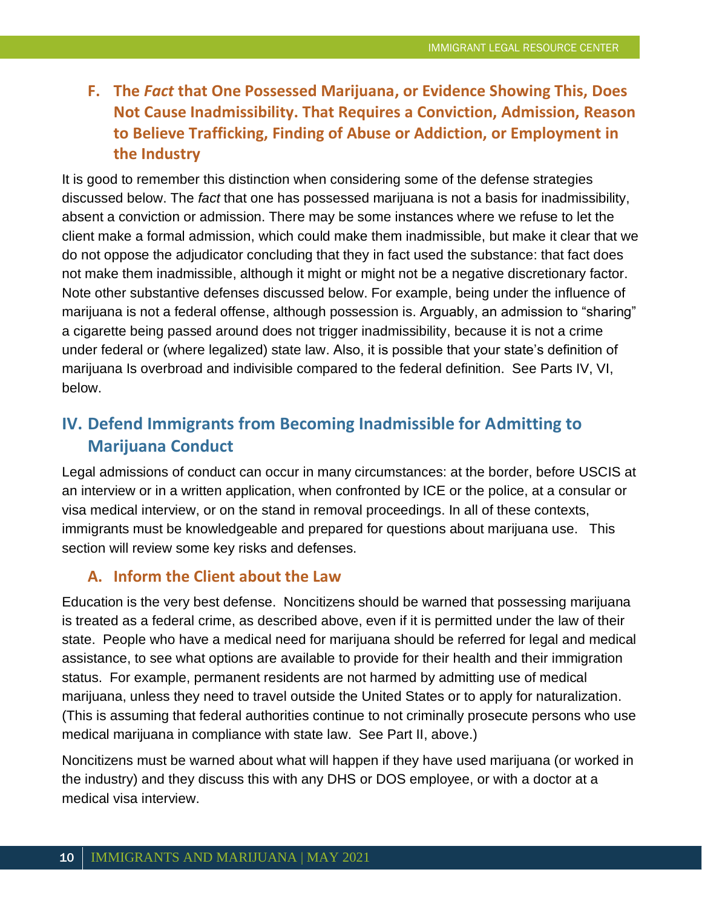# **F. The** *Fact* **that One Possessed Marijuana, or Evidence Showing This, Does Not Cause Inadmissibility. That Requires a Conviction, Admission, Reason to Believe Trafficking, Finding of Abuse or Addiction, or Employment in the Industry**

It is good to remember this distinction when considering some of the defense strategies discussed below. The *fact* that one has possessed marijuana is not a basis for inadmissibility, absent a conviction or admission. There may be some instances where we refuse to let the client make a formal admission, which could make them inadmissible, but make it clear that we do not oppose the adjudicator concluding that they in fact used the substance: that fact does not make them inadmissible, although it might or might not be a negative discretionary factor. Note other substantive defenses discussed below. For example, being under the influence of marijuana is not a federal offense, although possession is. Arguably, an admission to "sharing" a cigarette being passed around does not trigger inadmissibility, because it is not a crime under federal or (where legalized) state law. Also, it is possible that your state's definition of marijuana Is overbroad and indivisible compared to the federal definition. See Parts IV, VI, below.

# **IV. Defend Immigrants from Becoming Inadmissible for Admitting to Marijuana Conduct**

Legal admissions of conduct can occur in many circumstances: at the border, before USCIS at an interview or in a written application, when confronted by ICE or the police, at a consular or visa medical interview, or on the stand in removal proceedings. In all of these contexts, immigrants must be knowledgeable and prepared for questions about marijuana use. This section will review some key risks and defenses.

## **A. Inform the Client about the Law**

Education is the very best defense. Noncitizens should be warned that possessing marijuana is treated as a federal crime, as described above, even if it is permitted under the law of their state. People who have a medical need for marijuana should be referred for legal and medical assistance, to see what options are available to provide for their health and their immigration status. For example, permanent residents are not harmed by admitting use of medical marijuana, unless they need to travel outside the United States or to apply for naturalization. (This is assuming that federal authorities continue to not criminally prosecute persons who use medical marijuana in compliance with state law. See Part II, above.)

Noncitizens must be warned about what will happen if they have used marijuana (or worked in the industry) and they discuss this with any DHS or DOS employee, or with a doctor at a medical visa interview.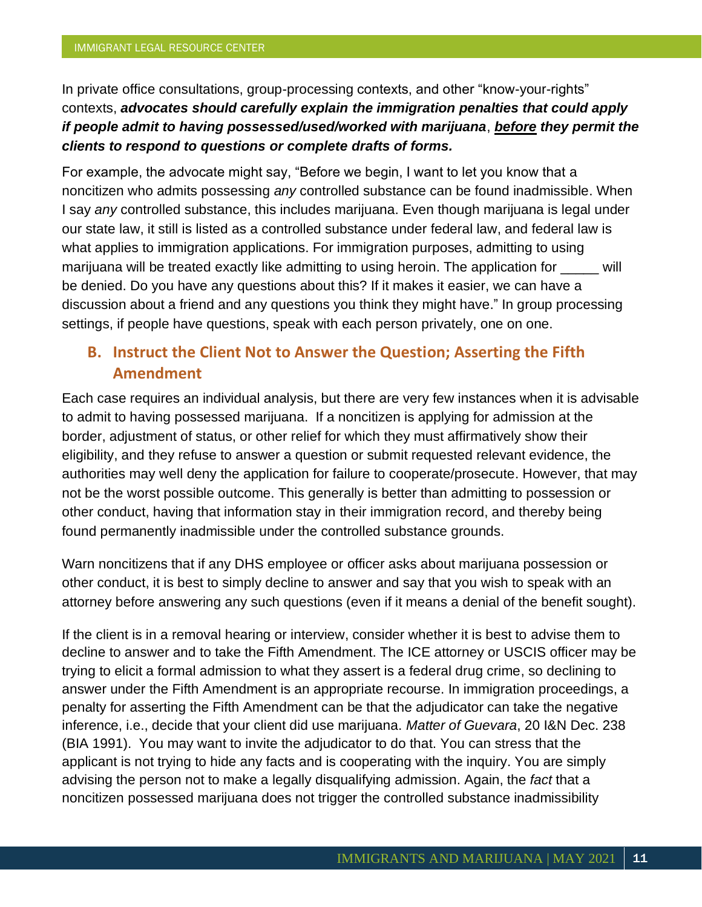In private office consultations, group-processing contexts, and other "know-your-rights" contexts, *advocates should carefully explain the immigration penalties that could apply if people admit to having possessed/used/worked with marijuana*, *before they permit the clients to respond to questions or complete drafts of forms.*

For example, the advocate might say, "Before we begin, I want to let you know that a noncitizen who admits possessing *any* controlled substance can be found inadmissible. When I say *any* controlled substance, this includes marijuana. Even though marijuana is legal under our state law, it still is listed as a controlled substance under federal law, and federal law is what applies to immigration applications. For immigration purposes, admitting to using marijuana will be treated exactly like admitting to using heroin. The application for will be denied. Do you have any questions about this? If it makes it easier, we can have a discussion about a friend and any questions you think they might have." In group processing settings, if people have questions, speak with each person privately, one on one.

# **B. Instruct the Client Not to Answer the Question; Asserting the Fifth Amendment**

Each case requires an individual analysis, but there are very few instances when it is advisable to admit to having possessed marijuana. If a noncitizen is applying for admission at the border, adjustment of status, or other relief for which they must affirmatively show their eligibility, and they refuse to answer a question or submit requested relevant evidence, the authorities may well deny the application for failure to cooperate/prosecute. However, that may not be the worst possible outcome. This generally is better than admitting to possession or other conduct, having that information stay in their immigration record, and thereby being found permanently inadmissible under the controlled substance grounds.

Warn noncitizens that if any DHS employee or officer asks about marijuana possession or other conduct, it is best to simply decline to answer and say that you wish to speak with an attorney before answering any such questions (even if it means a denial of the benefit sought).

If the client is in a removal hearing or interview, consider whether it is best to advise them to decline to answer and to take the Fifth Amendment. The ICE attorney or USCIS officer may be trying to elicit a formal admission to what they assert is a federal drug crime, so declining to answer under the Fifth Amendment is an appropriate recourse. In immigration proceedings, a penalty for asserting the Fifth Amendment can be that the adjudicator can take the negative inference, i.e., decide that your client did use marijuana. *Matter of Guevara*, 20 I&N Dec. 238 (BIA 1991). You may want to invite the adjudicator to do that. You can stress that the applicant is not trying to hide any facts and is cooperating with the inquiry. You are simply advising the person not to make a legally disqualifying admission. Again, the *fact* that a noncitizen possessed marijuana does not trigger the controlled substance inadmissibility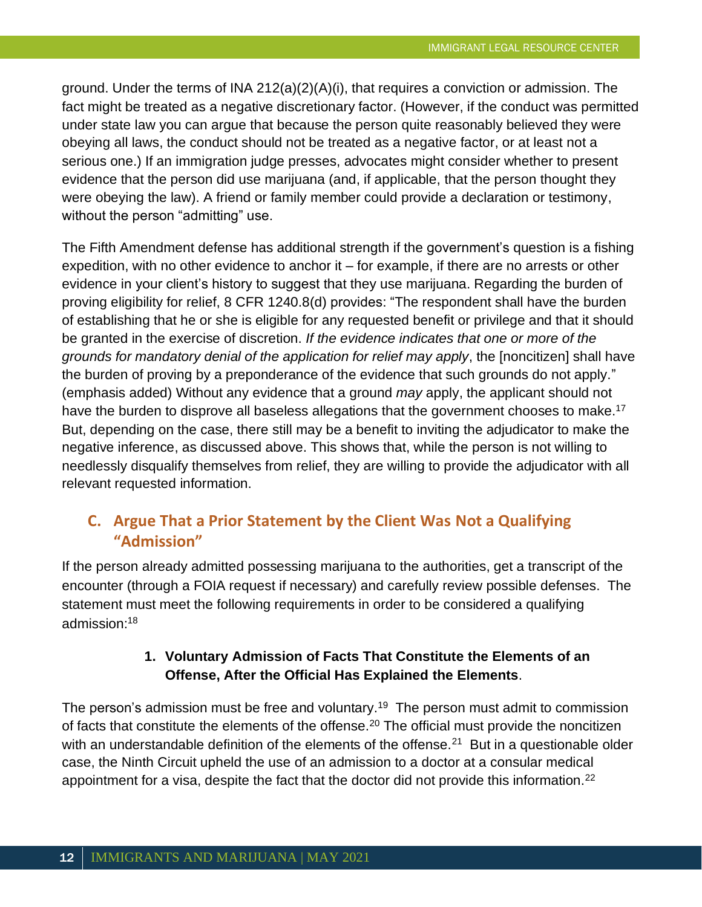ground. Under the terms of INA 212(a)(2)(A)(i), that requires a conviction or admission. The fact might be treated as a negative discretionary factor. (However, if the conduct was permitted under state law you can argue that because the person quite reasonably believed they were obeying all laws, the conduct should not be treated as a negative factor, or at least not a serious one.) If an immigration judge presses, advocates might consider whether to present evidence that the person did use marijuana (and, if applicable, that the person thought they were obeying the law). A friend or family member could provide a declaration or testimony, without the person "admitting" use.

The Fifth Amendment defense has additional strength if the government's question is a fishing expedition, with no other evidence to anchor it  $-$  for example, if there are no arrests or other evidence in your client's history to suggest that they use marijuana. Regarding the burden of proving eligibility for relief, 8 CFR 1240.8(d) provides: "The respondent shall have the burden of establishing that he or she is eligible for any requested benefit or privilege and that it should be granted in the exercise of discretion. *If the evidence indicates that one or more of the grounds for mandatory denial of the application for relief may apply*, the [noncitizen] shall have the burden of proving by a preponderance of the evidence that such grounds do not apply." (emphasis added) Without any evidence that a ground *may* apply, the applicant should not have the burden to disprove all baseless allegations that the government chooses to make.<sup>17</sup> But, depending on the case, there still may be a benefit to inviting the adjudicator to make the negative inference, as discussed above. This shows that, while the person is not willing to needlessly disqualify themselves from relief, they are willing to provide the adjudicator with all relevant requested information.

## **C. Argue That a Prior Statement by the Client Was Not a Qualifying "Admission"**

If the person already admitted possessing marijuana to the authorities, get a transcript of the encounter (through a FOIA request if necessary) and carefully review possible defenses. The statement must meet the following requirements in order to be considered a qualifying admission:<sup>18</sup>

## **1. Voluntary Admission of Facts That Constitute the Elements of an Offense, After the Official Has Explained the Elements**.

The person's admission must be free and voluntary.<sup>19</sup> The person must admit to commission of facts that constitute the elements of the offense.<sup>20</sup> The official must provide the noncitizen with an understandable definition of the elements of the offense.<sup>21</sup> But in a questionable older case, the Ninth Circuit upheld the use of an admission to a doctor at a consular medical appointment for a visa, despite the fact that the doctor did not provide this information.<sup>22</sup>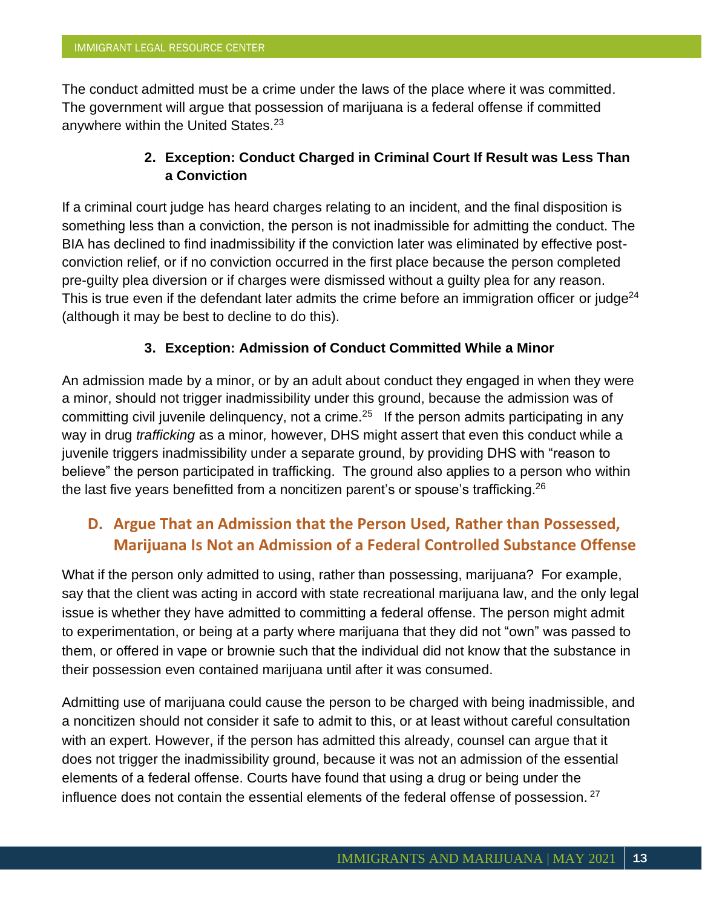The conduct admitted must be a crime under the laws of the place where it was committed. The government will argue that possession of marijuana is a federal offense if committed anywhere within the United States.<sup>23</sup>

## **2. Exception: Conduct Charged in Criminal Court If Result was Less Than a Conviction**

If a criminal court judge has heard charges relating to an incident, and the final disposition is something less than a conviction, the person is not inadmissible for admitting the conduct. The BIA has declined to find inadmissibility if the conviction later was eliminated by effective postconviction relief, or if no conviction occurred in the first place because the person completed pre-guilty plea diversion or if charges were dismissed without a guilty plea for any reason. This is true even if the defendant later admits the crime before an immigration officer or judge<sup>24</sup> (although it may be best to decline to do this).

## **3. Exception: Admission of Conduct Committed While a Minor**

An admission made by a minor, or by an adult about conduct they engaged in when they were a minor, should not trigger inadmissibility under this ground, because the admission was of committing civil juvenile delinquency, not a crime. $25$  If the person admits participating in any way in drug *trafficking* as a minor*,* however, DHS might assert that even this conduct while a juvenile triggers inadmissibility under a separate ground, by providing DHS with "reason to believe" the person participated in trafficking. The ground also applies to a person who within the last five years benefitted from a noncitizen parent's or spouse's trafficking.<sup>26</sup>

# **D. Argue That an Admission that the Person Used, Rather than Possessed, Marijuana Is Not an Admission of a Federal Controlled Substance Offense**

What if the person only admitted to using, rather than possessing, marijuana? For example, say that the client was acting in accord with state recreational marijuana law, and the only legal issue is whether they have admitted to committing a federal offense. The person might admit to experimentation, or being at a party where marijuana that they did not "own" was passed to them, or offered in vape or brownie such that the individual did not know that the substance in their possession even contained marijuana until after it was consumed.

Admitting use of marijuana could cause the person to be charged with being inadmissible, and a noncitizen should not consider it safe to admit to this, or at least without careful consultation with an expert. However, if the person has admitted this already, counsel can argue that it does not trigger the inadmissibility ground, because it was not an admission of the essential elements of a federal offense. Courts have found that using a drug or being under the influence does not contain the essential elements of the federal offense of possession.  $27$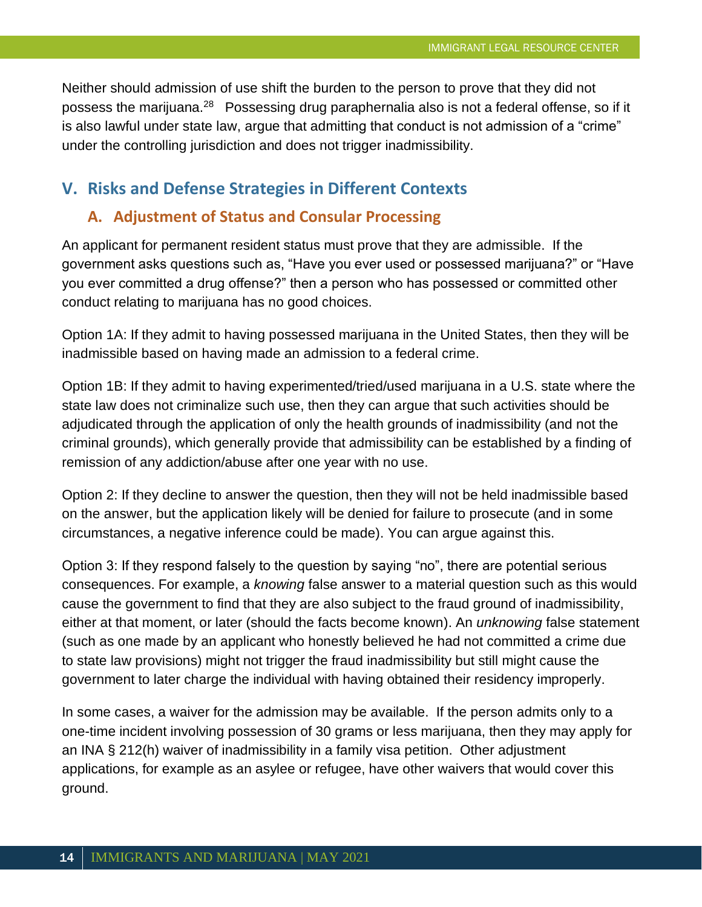Neither should admission of use shift the burden to the person to prove that they did not possess the marijuana.<sup>28</sup> Possessing drug paraphernalia also is not a federal offense, so if it is also lawful under state law, argue that admitting that conduct is not admission of a "crime" under the controlling jurisdiction and does not trigger inadmissibility.

## **V. Risks and Defense Strategies in Different Contexts**

#### **A. Adjustment of Status and Consular Processing**

An applicant for permanent resident status must prove that they are admissible. If the government asks questions such as, "Have you ever used or possessed marijuana?" or "Have you ever committed a drug offense?" then a person who has possessed or committed other conduct relating to marijuana has no good choices.

Option 1A: If they admit to having possessed marijuana in the United States, then they will be inadmissible based on having made an admission to a federal crime.

Option 1B: If they admit to having experimented/tried/used marijuana in a U.S. state where the state law does not criminalize such use, then they can argue that such activities should be adjudicated through the application of only the health grounds of inadmissibility (and not the criminal grounds), which generally provide that admissibility can be established by a finding of remission of any addiction/abuse after one year with no use.

Option 2: If they decline to answer the question, then they will not be held inadmissible based on the answer, but the application likely will be denied for failure to prosecute (and in some circumstances, a negative inference could be made). You can argue against this.

Option 3: If they respond falsely to the question by saying "no", there are potential serious consequences. For example, a *knowing* false answer to a material question such as this would cause the government to find that they are also subject to the fraud ground of inadmissibility, either at that moment, or later (should the facts become known). An *unknowing* false statement (such as one made by an applicant who honestly believed he had not committed a crime due to state law provisions) might not trigger the fraud inadmissibility but still might cause the government to later charge the individual with having obtained their residency improperly.

In some cases, a waiver for the admission may be available. If the person admits only to a one-time incident involving possession of 30 grams or less marijuana, then they may apply for an INA § 212(h) waiver of inadmissibility in a family visa petition. Other adjustment applications, for example as an asylee or refugee, have other waivers that would cover this ground.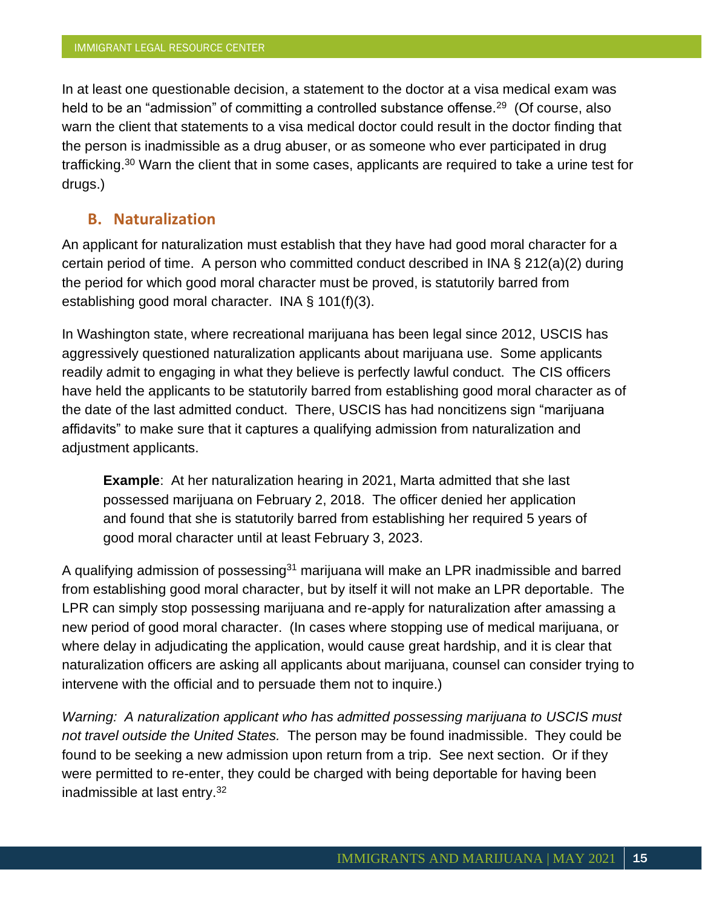In at least one questionable decision, a statement to the doctor at a visa medical exam was held to be an "admission" of committing a controlled substance offense.<sup>29</sup> (Of course, also warn the client that statements to a visa medical doctor could result in the doctor finding that the person is inadmissible as a drug abuser, or as someone who ever participated in drug trafficking.<sup>30</sup> Warn the client that in some cases, applicants are required to take a urine test for drugs.)

#### **B. Naturalization**

An applicant for naturalization must establish that they have had good moral character for a certain period of time. A person who committed conduct described in INA § 212(a)(2) during the period for which good moral character must be proved, is statutorily barred from establishing good moral character. INA § 101(f)(3).

In Washington state, where recreational marijuana has been legal since 2012, USCIS has aggressively questioned naturalization applicants about marijuana use. Some applicants readily admit to engaging in what they believe is perfectly lawful conduct. The CIS officers have held the applicants to be statutorily barred from establishing good moral character as of the date of the last admitted conduct. There, USCIS has had noncitizens sign "marijuana affidavits" to make sure that it captures a qualifying admission from naturalization and adjustment applicants.

**Example**: At her naturalization hearing in 2021, Marta admitted that she last possessed marijuana on February 2, 2018. The officer denied her application and found that she is statutorily barred from establishing her required 5 years of good moral character until at least February 3, 2023.

A qualifying admission of possessing<sup>31</sup> marijuana will make an LPR inadmissible and barred from establishing good moral character, but by itself it will not make an LPR deportable. The LPR can simply stop possessing marijuana and re-apply for naturalization after amassing a new period of good moral character. (In cases where stopping use of medical marijuana, or where delay in adjudicating the application, would cause great hardship, and it is clear that naturalization officers are asking all applicants about marijuana, counsel can consider trying to intervene with the official and to persuade them not to inquire.)

*Warning: A naturalization applicant who has admitted possessing marijuana to USCIS must not travel outside the United States.* The person may be found inadmissible. They could be found to be seeking a new admission upon return from a trip. See next section. Or if they were permitted to re-enter, they could be charged with being deportable for having been inadmissible at last entry.32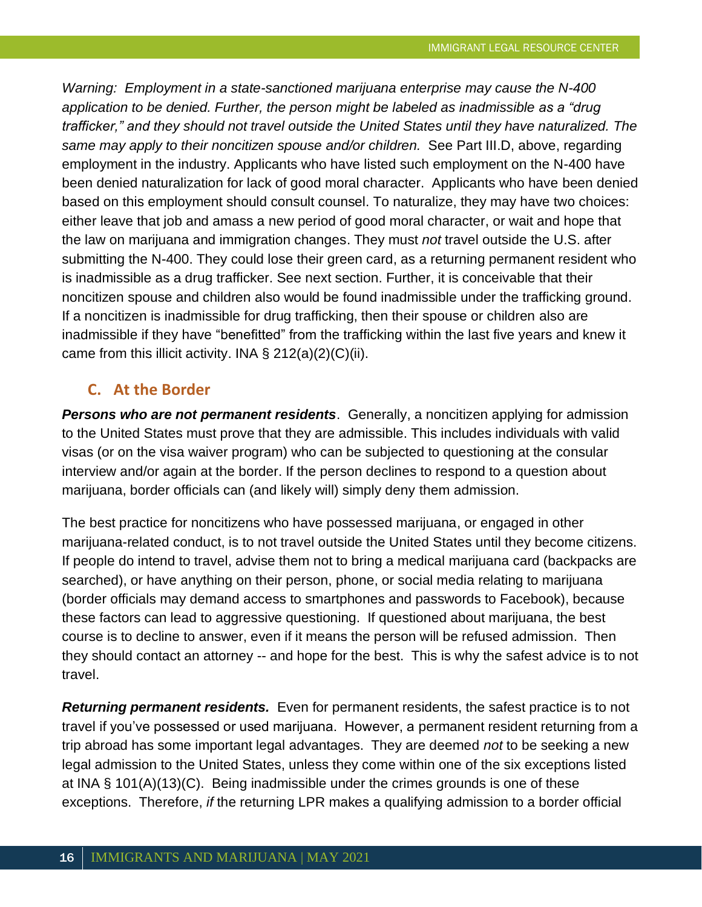*Warning: Employment in a state-sanctioned marijuana enterprise may cause the N-400 application to be denied. Further, the person might be labeled as inadmissible as a "drug trafficker," and they should not travel outside the United States until they have naturalized. The same may apply to their noncitizen spouse and/or children.* See Part III.D, above, regarding employment in the industry. Applicants who have listed such employment on the N-400 have been denied naturalization for lack of good moral character. Applicants who have been denied based on this employment should consult counsel. To naturalize, they may have two choices: either leave that job and amass a new period of good moral character, or wait and hope that the law on marijuana and immigration changes. They must *not* travel outside the U.S. after submitting the N-400. They could lose their green card, as a returning permanent resident who is inadmissible as a drug trafficker. See next section. Further, it is conceivable that their noncitizen spouse and children also would be found inadmissible under the trafficking ground. If a noncitizen is inadmissible for drug trafficking, then their spouse or children also are inadmissible if they have "benefitted" from the trafficking within the last five years and knew it came from this illicit activity. INA  $\S 212(a)(2)(C)(ii)$ .

## **C. At the Border**

**Persons who are not permanent residents**. Generally, a noncitizen applying for admission to the United States must prove that they are admissible. This includes individuals with valid visas (or on the visa waiver program) who can be subjected to questioning at the consular interview and/or again at the border. If the person declines to respond to a question about marijuana, border officials can (and likely will) simply deny them admission.

The best practice for noncitizens who have possessed marijuana, or engaged in other marijuana-related conduct, is to not travel outside the United States until they become citizens. If people do intend to travel, advise them not to bring a medical marijuana card (backpacks are searched), or have anything on their person, phone, or social media relating to marijuana (border officials may demand access to smartphones and passwords to Facebook), because these factors can lead to aggressive questioning. If questioned about marijuana, the best course is to decline to answer, even if it means the person will be refused admission. Then they should contact an attorney -- and hope for the best. This is why the safest advice is to not travel.

*Returning permanent residents.* Even for permanent residents, the safest practice is to not travel if you've possessed or used marijuana. However, a permanent resident returning from a trip abroad has some important legal advantages. They are deemed *not* to be seeking a new legal admission to the United States, unless they come within one of the six exceptions listed at INA § 101(A)(13)(C). Being inadmissible under the crimes grounds is one of these exceptions. Therefore, *if* the returning LPR makes a qualifying admission to a border official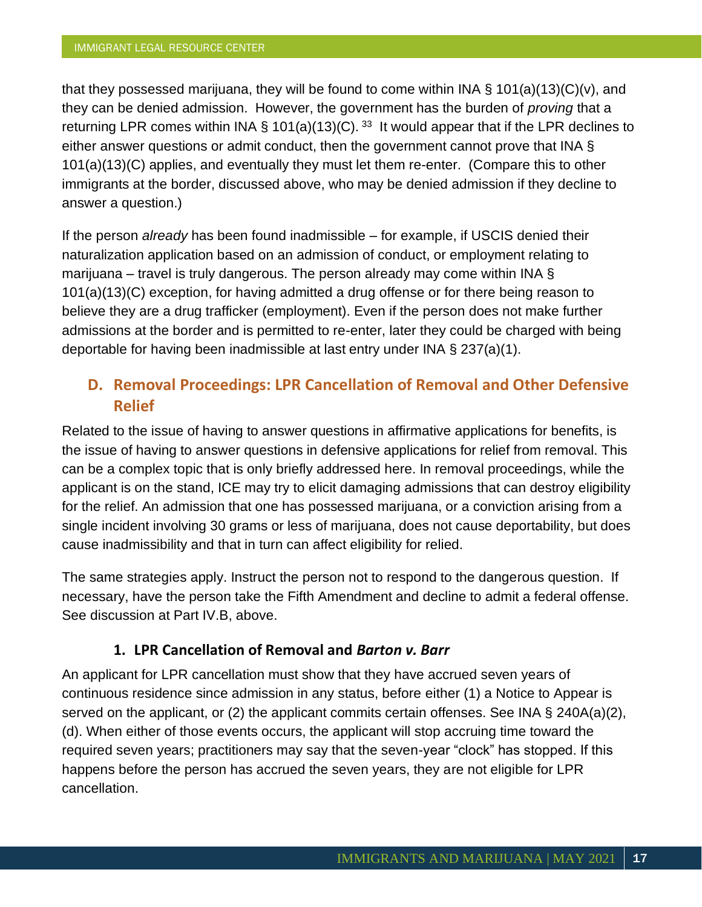that they possessed marijuana, they will be found to come within INA § 101(a)(13)(C)(v), and they can be denied admission. However, the government has the burden of *proving* that a returning LPR comes within INA § 101(a)(13)(C).<sup>33</sup> It would appear that if the LPR declines to either answer questions or admit conduct, then the government cannot prove that INA § 101(a)(13)(C) applies, and eventually they must let them re-enter. (Compare this to other immigrants at the border, discussed above, who may be denied admission if they decline to answer a question.)

If the person *already* has been found inadmissible – for example, if USCIS denied their naturalization application based on an admission of conduct, or employment relating to marijuana – travel is truly dangerous. The person already may come within INA § 101(a)(13)(C) exception, for having admitted a drug offense or for there being reason to believe they are a drug trafficker (employment). Even if the person does not make further admissions at the border and is permitted to re-enter, later they could be charged with being deportable for having been inadmissible at last entry under INA § 237(a)(1).

## **D. Removal Proceedings: LPR Cancellation of Removal and Other Defensive Relief**

Related to the issue of having to answer questions in affirmative applications for benefits, is the issue of having to answer questions in defensive applications for relief from removal. This can be a complex topic that is only briefly addressed here. In removal proceedings, while the applicant is on the stand, ICE may try to elicit damaging admissions that can destroy eligibility for the relief. An admission that one has possessed marijuana, or a conviction arising from a single incident involving 30 grams or less of marijuana, does not cause deportability, but does cause inadmissibility and that in turn can affect eligibility for relied.

The same strategies apply. Instruct the person not to respond to the dangerous question. If necessary, have the person take the Fifth Amendment and decline to admit a federal offense. See discussion at Part IV.B, above.

## **1. LPR Cancellation of Removal and** *Barton v. Barr*

An applicant for LPR cancellation must show that they have accrued seven years of continuous residence since admission in any status, before either (1) a Notice to Appear is served on the applicant, or (2) the applicant commits certain offenses. See INA § 240A(a)(2), (d). When either of those events occurs, the applicant will stop accruing time toward the required seven years; practitioners may say that the seven-year "clock" has stopped. If this happens before the person has accrued the seven years, they are not eligible for LPR cancellation.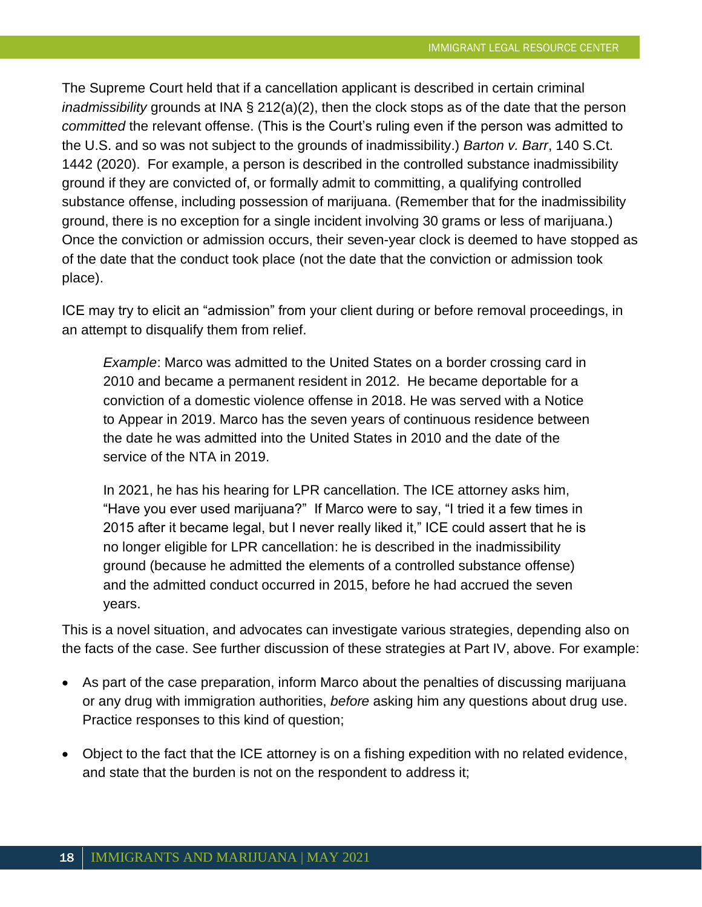The Supreme Court held that if a cancellation applicant is described in certain criminal *inadmissibility* grounds at INA § 212(a)(2), then the clock stops as of the date that the person *committed* the relevant offense. (This is the Court's ruling even if the person was admitted to the U.S. and so was not subject to the grounds of inadmissibility.) *Barton v. Barr*, 140 S.Ct. 1442 (2020). For example, a person is described in the controlled substance inadmissibility ground if they are convicted of, or formally admit to committing, a qualifying controlled substance offense, including possession of marijuana. (Remember that for the inadmissibility ground, there is no exception for a single incident involving 30 grams or less of marijuana.) Once the conviction or admission occurs, their seven-year clock is deemed to have stopped as of the date that the conduct took place (not the date that the conviction or admission took place).

ICE may try to elicit an "admission" from your client during or before removal proceedings, in an attempt to disqualify them from relief.

*Example*: Marco was admitted to the United States on a border crossing card in 2010 and became a permanent resident in 2012. He became deportable for a conviction of a domestic violence offense in 2018. He was served with a Notice to Appear in 2019. Marco has the seven years of continuous residence between the date he was admitted into the United States in 2010 and the date of the service of the NTA in 2019.

In 2021, he has his hearing for LPR cancellation. The ICE attorney asks him, "Have you ever used marijuana?" If Marco were to say, "I tried it a few times in 2015 after it became legal, but I never really liked it," ICE could assert that he is no longer eligible for LPR cancellation: he is described in the inadmissibility ground (because he admitted the elements of a controlled substance offense) and the admitted conduct occurred in 2015, before he had accrued the seven years.

This is a novel situation, and advocates can investigate various strategies, depending also on the facts of the case. See further discussion of these strategies at Part IV, above. For example:

- As part of the case preparation, inform Marco about the penalties of discussing marijuana or any drug with immigration authorities, *before* asking him any questions about drug use. Practice responses to this kind of question;
- Object to the fact that the ICE attorney is on a fishing expedition with no related evidence, and state that the burden is not on the respondent to address it;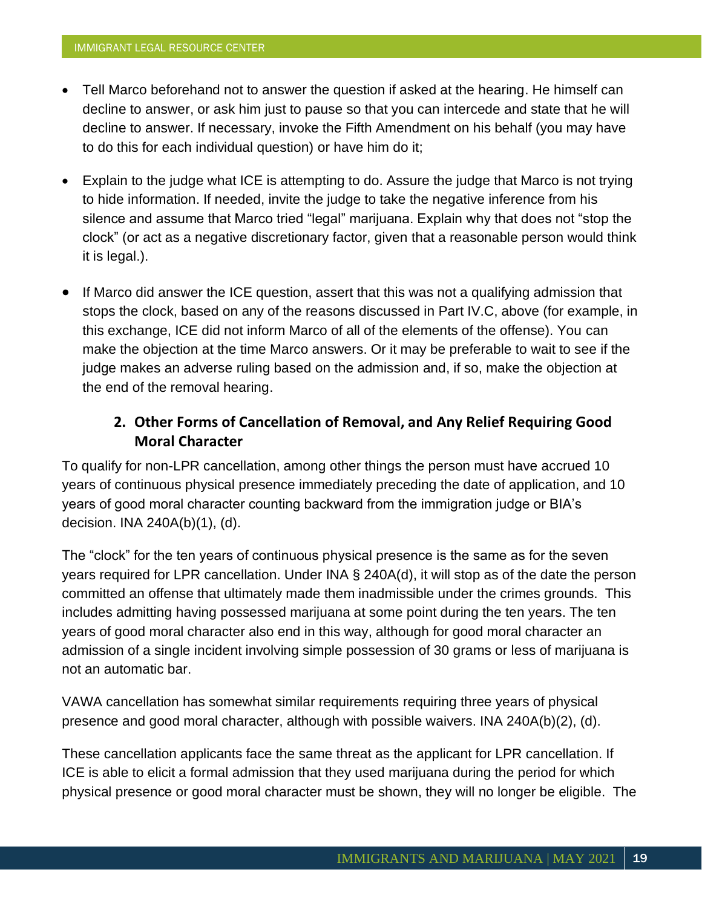- Tell Marco beforehand not to answer the question if asked at the hearing. He himself can decline to answer, or ask him just to pause so that you can intercede and state that he will decline to answer. If necessary, invoke the Fifth Amendment on his behalf (you may have to do this for each individual question) or have him do it;
- Explain to the judge what ICE is attempting to do. Assure the judge that Marco is not trying to hide information. If needed, invite the judge to take the negative inference from his silence and assume that Marco tried "legal" marijuana. Explain why that does not "stop the clock" (or act as a negative discretionary factor, given that a reasonable person would think it is legal.).
- If Marco did answer the ICE question, assert that this was not a qualifying admission that stops the clock, based on any of the reasons discussed in Part IV.C, above (for example, in this exchange, ICE did not inform Marco of all of the elements of the offense). You can make the objection at the time Marco answers. Or it may be preferable to wait to see if the judge makes an adverse ruling based on the admission and, if so, make the objection at the end of the removal hearing.

## **2. Other Forms of Cancellation of Removal, and Any Relief Requiring Good Moral Character**

To qualify for non-LPR cancellation, among other things the person must have accrued 10 years of continuous physical presence immediately preceding the date of application, and 10 years of good moral character counting backward from the immigration judge or BIA's decision. INA 240A(b)(1), (d).

The "clock" for the ten years of continuous physical presence is the same as for the seven years required for LPR cancellation. Under INA § 240A(d), it will stop as of the date the person committed an offense that ultimately made them inadmissible under the crimes grounds. This includes admitting having possessed marijuana at some point during the ten years. The ten years of good moral character also end in this way, although for good moral character an admission of a single incident involving simple possession of 30 grams or less of marijuana is not an automatic bar.

VAWA cancellation has somewhat similar requirements requiring three years of physical presence and good moral character, although with possible waivers. INA 240A(b)(2), (d).

These cancellation applicants face the same threat as the applicant for LPR cancellation. If ICE is able to elicit a formal admission that they used marijuana during the period for which physical presence or good moral character must be shown, they will no longer be eligible. The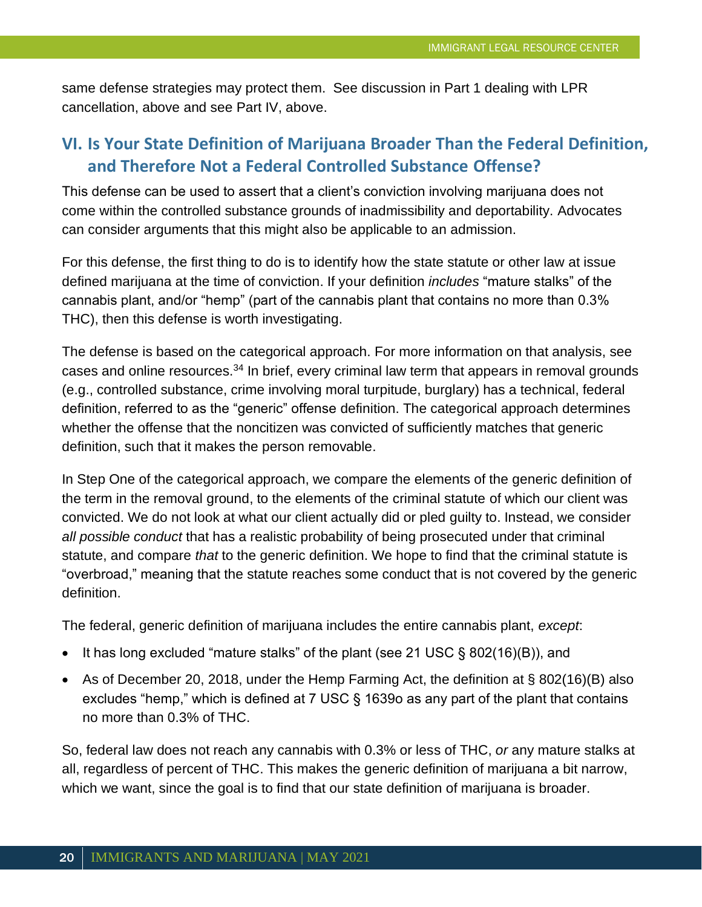same defense strategies may protect them. See discussion in Part 1 dealing with LPR cancellation, above and see Part IV, above.

# **VI. Is Your State Definition of Marijuana Broader Than the Federal Definition, and Therefore Not a Federal Controlled Substance Offense?**

This defense can be used to assert that a client's conviction involving marijuana does not come within the controlled substance grounds of inadmissibility and deportability. Advocates can consider arguments that this might also be applicable to an admission.

For this defense, the first thing to do is to identify how the state statute or other law at issue defined marijuana at the time of conviction. If your definition *includes* "mature stalks" of the cannabis plant, and/or "hemp" (part of the cannabis plant that contains no more than 0.3% THC), then this defense is worth investigating.

The defense is based on the categorical approach. For more information on that analysis, see cases and online resources.<sup>34</sup> In brief, every criminal law term that appears in removal grounds (e.g., controlled substance, crime involving moral turpitude, burglary) has a technical, federal definition, referred to as the "generic" offense definition. The categorical approach determines whether the offense that the noncitizen was convicted of sufficiently matches that generic definition, such that it makes the person removable.

In Step One of the categorical approach, we compare the elements of the generic definition of the term in the removal ground, to the elements of the criminal statute of which our client was convicted. We do not look at what our client actually did or pled guilty to. Instead, we consider *all possible conduct* that has a realistic probability of being prosecuted under that criminal statute, and compare *that* to the generic definition. We hope to find that the criminal statute is "overbroad," meaning that the statute reaches some conduct that is not covered by the generic definition.

The federal, generic definition of marijuana includes the entire cannabis plant, *except*:

- It has long excluded "mature stalks" of the plant (see 21 USC § 802(16)(B)), and
- As of December 20, 2018, under the Hemp Farming Act, the definition at § 802(16)(B) also excludes "hemp," which is defined at 7 USC § 1639o as any part of the plant that contains no more than 0.3% of THC.

So, federal law does not reach any cannabis with 0.3% or less of THC, *or* any mature stalks at all, regardless of percent of THC. This makes the generic definition of marijuana a bit narrow, which we want, since the goal is to find that our state definition of marijuana is broader.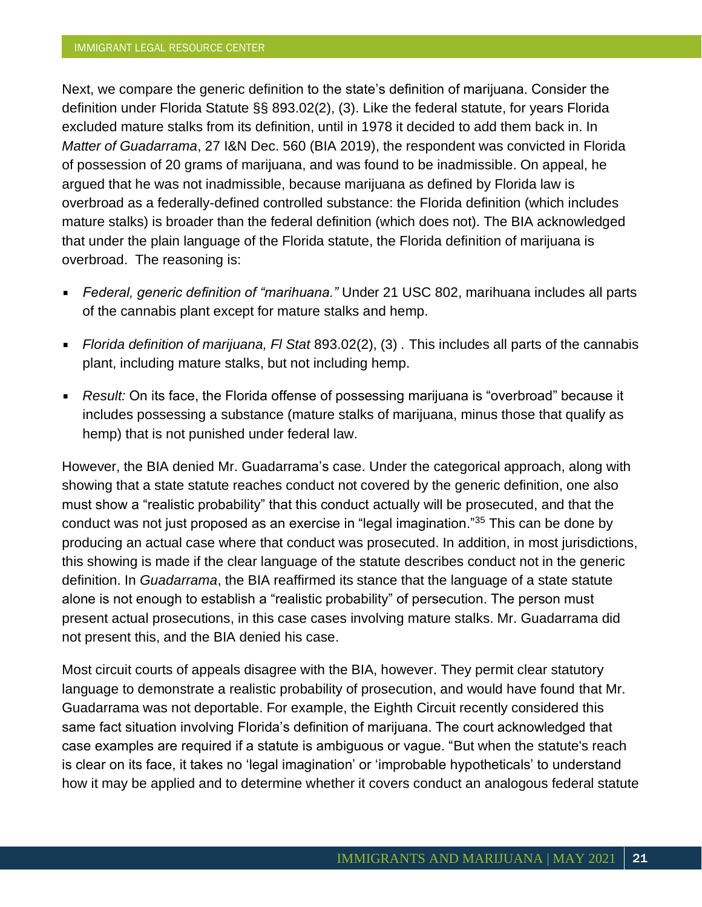Next, we compare the generic definition to the state's definition of marijuana. Consider the definition under Florida Statute §§ 893.02(2), (3). Like the federal statute, for years Florida excluded mature stalks from its definition, until in 1978 it decided to add them back in. In *Matter of Guadarrama*, 27 I&N Dec. 560 (BIA 2019), the respondent was convicted in Florida of possession of 20 grams of marijuana, and was found to be inadmissible. On appeal, he argued that he was not inadmissible, because marijuana as defined by Florida law is overbroad as a federally-defined controlled substance: the Florida definition (which includes mature stalks) is broader than the federal definition (which does not). The BIA acknowledged that under the plain language of the Florida statute, the Florida definition of marijuana is overbroad. The reasoning is:

- *Federal, generic definition of "marihuana."* Under 21 USC 802, marihuana includes all parts of the cannabis plant except for mature stalks and hemp.
- *Florida definition of marijuana, Fl Stat* 893.02(2), (3) *.* This includes all parts of the cannabis  $\blacksquare$ plant, including mature stalks, but not including hemp.
- *Result:* On its face, the Florida offense of possessing marijuana is "overbroad" because it includes possessing a substance (mature stalks of marijuana, minus those that qualify as hemp) that is not punished under federal law.

However, the BIA denied Mr. Guadarrama's case. Under the categorical approach, along with showing that a state statute reaches conduct not covered by the generic definition, one also must show a "realistic probability" that this conduct actually will be prosecuted, and that the conduct was not just proposed as an exercise in "legal imagination."<sup>35</sup> This can be done by producing an actual case where that conduct was prosecuted. In addition, in most jurisdictions, this showing is made if the clear language of the statute describes conduct not in the generic definition. In *Guadarrama*, the BIA reaffirmed its stance that the language of a state statute alone is not enough to establish a "realistic probability" of persecution. The person must present actual prosecutions, in this case cases involving mature stalks. Mr. Guadarrama did not present this, and the BIA denied his case.

Most circuit courts of appeals disagree with the BIA, however. They permit clear statutory language to demonstrate a realistic probability of prosecution, and would have found that Mr. Guadarrama was not deportable. For example, the Eighth Circuit recently considered this same fact situation involving Florida's definition of marijuana. The court acknowledged that case examples are required if a statute is ambiguous or vague. "But when the statute's reach is clear on its face, it takes no 'legal imagination' or 'improbable hypotheticals' to understand how it may be applied and to determine whether it covers conduct an analogous federal statute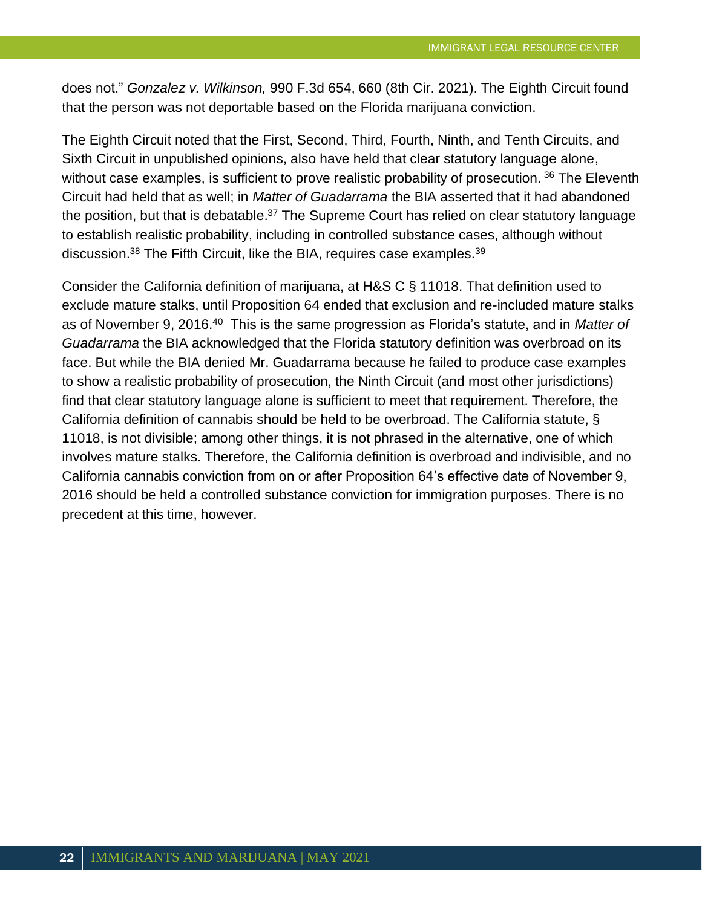does not." *Gonzalez v. Wilkinson,* 990 F.3d 654, 660 (8th Cir. 2021). The Eighth Circuit found that the person was not deportable based on the Florida marijuana conviction.

The Eighth Circuit noted that the First, Second, Third, Fourth, Ninth, and Tenth Circuits, and Sixth Circuit in unpublished opinions, also have held that clear statutory language alone, without case examples, is sufficient to prove realistic probability of prosecution.<sup>36</sup> The Eleventh Circuit had held that as well; in *Matter of Guadarrama* the BIA asserted that it had abandoned the position, but that is debatable.<sup>37</sup> The Supreme Court has relied on clear statutory language to establish realistic probability, including in controlled substance cases, although without discussion.<sup>38</sup> The Fifth Circuit, like the BIA, requires case examples.<sup>39</sup>

Consider the California definition of marijuana, at H&S C § 11018. That definition used to exclude mature stalks, until Proposition 64 ended that exclusion and re-included mature stalks as of November 9, 2016.<sup>40</sup> This is the same progression as Florida's statute, and in *Matter of Guadarrama* the BIA acknowledged that the Florida statutory definition was overbroad on its face. But while the BIA denied Mr. Guadarrama because he failed to produce case examples to show a realistic probability of prosecution, the Ninth Circuit (and most other jurisdictions) find that clear statutory language alone is sufficient to meet that requirement. Therefore, the California definition of cannabis should be held to be overbroad. The California statute, § 11018, is not divisible; among other things, it is not phrased in the alternative, one of which involves mature stalks. Therefore, the California definition is overbroad and indivisible, and no California cannabis conviction from on or after Proposition 64's effective date of November 9, 2016 should be held a controlled substance conviction for immigration purposes. There is no precedent at this time, however.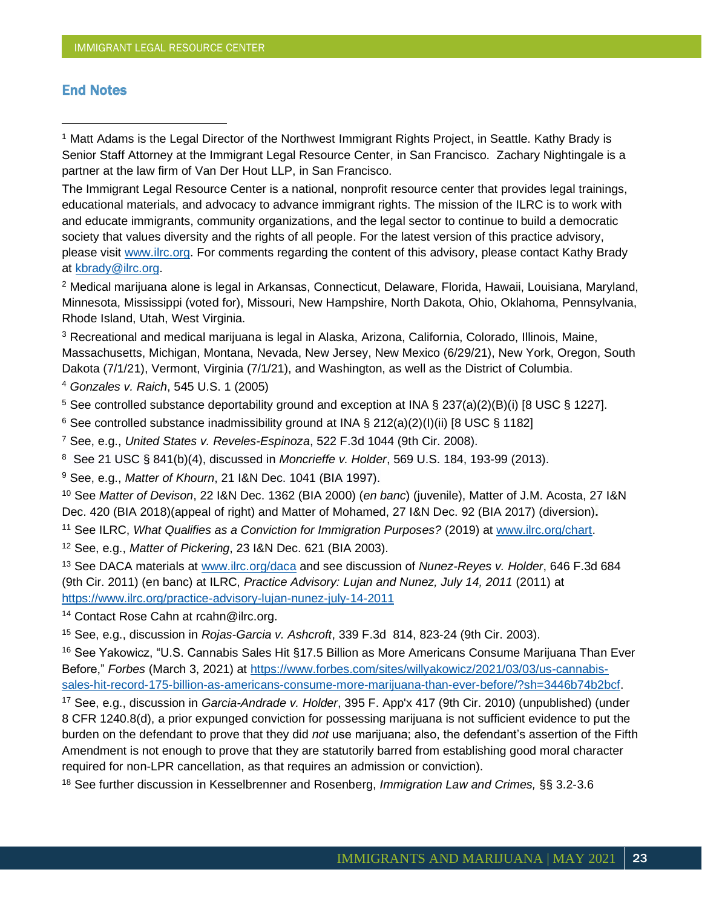#### **End Notes**

<sup>1</sup> Matt Adams is the Legal Director of the Northwest Immigrant Rights Project, in Seattle. Kathy Brady is Senior Staff Attorney at the Immigrant Legal Resource Center, in San Francisco. Zachary Nightingale is a partner at the law firm of Van Der Hout LLP, in San Francisco.

The Immigrant Legal Resource Center is a national, nonprofit resource center that provides legal trainings, educational materials, and advocacy to advance immigrant rights. The mission of the ILRC is to work with and educate immigrants, community organizations, and the legal sector to continue to build a democratic society that values diversity and the rights of all people. For the latest version of this practice advisory, please visit [www.ilrc.org.](http://www.ilrc.org/) For comments regarding the content of this advisory, please contact Kathy Brady at [kbrady@ilrc.org.](mailto:kbrady@ilrc.org)

<sup>2</sup> Medical marijuana alone is legal in Arkansas, Connecticut, Delaware, Florida, Hawaii, Louisiana, Maryland, Minnesota, Mississippi (voted for), Missouri, New Hampshire, North Dakota, Ohio, Oklahoma, Pennsylvania, Rhode Island, Utah, West Virginia.

<sup>3</sup> Recreational and medical marijuana is legal in Alaska, Arizona, California, Colorado, Illinois, Maine, Massachusetts, Michigan, Montana, Nevada, New Jersey, New Mexico (6/29/21), New York, Oregon, South Dakota (7/1/21), Vermont, Virginia (7/1/21), and Washington, as well as the District of Columbia.

<sup>4</sup> *Gonzales v. Raich*, 545 U.S. 1 (2005)

<sup>5</sup> See controlled substance deportability ground and exception at INA § 237(a)(2)(B)(i) [8 USC § 1227].

<sup>6</sup> See controlled substance inadmissibility ground at INA § 212(a)(2)(I)(ii) [8 USC § 1182]

<sup>7</sup> See, e.g., *United States v. Reveles-Espinoza*, 522 F.3d 1044 (9th Cir. 2008).

<sup>8</sup> See 21 USC § 841(b)(4), discussed in *Moncrieffe v. Holder*, 569 U.S. 184, 193-99 (2013).

<sup>9</sup> See, e.g., *Matter of Khourn*, 21 I&N Dec. 1041 (BIA 1997).

<sup>10</sup> See *Matter of Devison*, 22 I&N Dec. 1362 (BIA 2000) (*en banc*) (juvenile), Matter of J.M. Acosta, 27 I&N Dec. 420 (BIA 2018)(appeal of right) and Matter of Mohamed, 27 I&N Dec. 92 (BIA 2017) (diversion)**.**

<sup>11</sup> See ILRC, *What Qualifies as a Conviction for Immigration Purposes?* (2019) at [www.ilrc.org/chart.](http://www.ilrc.org/chart)

<sup>12</sup> See, e.g., *Matter of Pickering*, 23 I&N Dec. 621 (BIA 2003).

<sup>13</sup> See DACA materials at [www.ilrc.org/daca](http://www.ilrc.org/daca) and see discussion of *Nunez-Reyes v. Holder*, 646 F.3d 684 (9th Cir. 2011) (en banc) at ILRC, *Practice Advisory: Lujan and Nunez, July 14, 2011* (2011) at <https://www.ilrc.org/practice-advisory-lujan-nunez-july-14-2011>

<sup>14</sup> Contact Rose Cahn at rcahn@ilrc.org.

<sup>15</sup> See, e.g., discussion in *Rojas-Garcia v. Ashcroft*, 339 F.3d 814, 823-24 (9th Cir. 2003).

<sup>16</sup> See Yakowicz, "U.S. Cannabis Sales Hit §17.5 Billion as More Americans Consume Marijuana Than Ever Before," *Forbes* (March 3, 2021) at [https://www.forbes.com/sites/willyakowicz/2021/03/03/us-cannabis](https://www.forbes.com/sites/willyakowicz/2021/03/03/us-cannabis-sales-hit-record-175-billion-as-americans-consume-more-marijuana-than-ever-before/?sh=3446b74b2bcf)[sales-hit-record-175-billion-as-americans-consume-more-marijuana-than-ever-before/?sh=3446b74b2bcf.](https://www.forbes.com/sites/willyakowicz/2021/03/03/us-cannabis-sales-hit-record-175-billion-as-americans-consume-more-marijuana-than-ever-before/?sh=3446b74b2bcf)

<sup>17</sup> See, e.g., discussion in *Garcia-Andrade v. Holder*, 395 F. App'x 417 (9th Cir. 2010) (unpublished) (under 8 CFR 1240.8(d), a prior expunged conviction for possessing marijuana is not sufficient evidence to put the burden on the defendant to prove that they did *not* use marijuana; also, the defendant's assertion of the Fifth Amendment is not enough to prove that they are statutorily barred from establishing good moral character required for non-LPR cancellation, as that requires an admission or conviction).

<sup>18</sup> See further discussion in Kesselbrenner and Rosenberg, *Immigration Law and Crimes,* §§ 3.2-3.6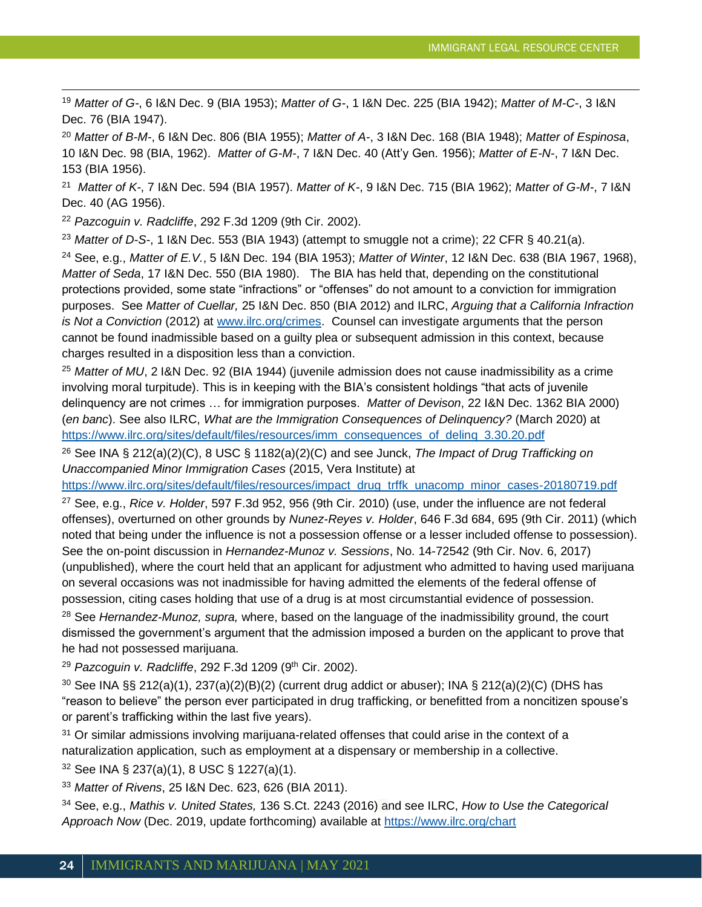<sup>19</sup> *Matter of G-*, [6 I&N Dec. 9](http://127.0.0.1:49152/mb/lpext.dll?f=FifLink&t=document-frame.htm&l=jump&iid=Immigration%20(BIA,%20AAO,%20etc.)%20Precedent%20Decisions&d=I_N%7C6%7C9%7C&sid=79a8235f.2a96a3b8.0.0#JD_IN69) (BIA 1953); *Matter of G-*, [1 I&N Dec. 225](http://127.0.0.1:49152/mb/lpext.dll?f=FifLink&t=document-frame.htm&l=jump&iid=Immigration%20(BIA,%20AAO,%20etc.)%20Precedent%20Decisions&d=I_N%7C1%7C225%7C&sid=79a8235f.2a96a3b8.0.0#JD_IN1225) (BIA 1942); *Matter of M-C-*, [3 I&N](http://127.0.0.1:49152/mb/lpext.dll?f=FifLink&t=document-frame.htm&l=jump&iid=Immigration%20(BIA,%20AAO,%20etc.)%20Precedent%20Decisions&d=I_N%7C3%7C76%7C&sid=79a8235f.2a96a3b8.0.0#JD_IN376)  [Dec. 76](http://127.0.0.1:49152/mb/lpext.dll?f=FifLink&t=document-frame.htm&l=jump&iid=Immigration%20(BIA,%20AAO,%20etc.)%20Precedent%20Decisions&d=I_N%7C3%7C76%7C&sid=79a8235f.2a96a3b8.0.0#JD_IN376) (BIA 1947).

<sup>20</sup> *Matter of B-M-*, 6 I&N Dec. 806 (BIA 1955); *Matter of A-*, 3 I&N Dec. 168 (BIA 1948); *Matter of Espinosa*, 10 I&N Dec. 98 (BIA, 1962). *Matter of G-M-*, [7 I&N Dec. 40](http://127.0.0.1:49152/mb/lpext.dll?f=FifLink&t=document-frame.htm&l=jump&iid=Immigration%20(BIA,%20AAO,%20etc.)%20Precedent%20Decisions&d=I_N%7C7%7C40%7C&sid=79a8235f.2a96a3b8.0.0#JD_IN740) (Att'y Gen. 1956); *Matter of E-N-*, [7 I&N Dec.](http://127.0.0.1:49152/mb/lpext.dll?f=FifLink&t=document-frame.htm&l=jump&iid=Immigration%20(BIA,%20AAO,%20etc.)%20Precedent%20Decisions&d=I_N%7C7%7C153%7C&sid=79a8235f.2a96a3b8.0.0#JD_IN7153)  [153](http://127.0.0.1:49152/mb/lpext.dll?f=FifLink&t=document-frame.htm&l=jump&iid=Immigration%20(BIA,%20AAO,%20etc.)%20Precedent%20Decisions&d=I_N%7C7%7C153%7C&sid=79a8235f.2a96a3b8.0.0#JD_IN7153) (BIA 1956).

21 *Matter of K-*, 7 I&N Dec. 594 (BIA 1957). *Matter of K-*, 9 I&N Dec. 715 (BIA 1962); *Matter of G-M-*, 7 I&N Dec. 40 (AG 1956).

<sup>22</sup> *Pazcoguin v. Radcliffe*, 292 F.3d 1209 (9th Cir. 2002).

<sup>23</sup> *Matter of D-S-*, [1 I&N Dec. 553](http://127.0.0.1:49152/mb/lpext.dll?f=FifLink&t=document-frame.htm&l=jump&iid=Immigration%20(BIA,%20AAO,%20etc.)%20Precedent%20Decisions&d=I_N%7C1%7C553%7C&sid=79a8235f.2a96a3b8.0.0#JD_IN1553) (BIA 1943) (attempt to smuggle not a crime); 22 CFR § 40.21(a).

<sup>24</sup> See, e.g., *Matter of E.V.*, 5 I&N Dec. 194 (BIA 1953); *Matter of Winter*, 12 I&N Dec. 638 (BIA 1967, 1968), *Matter of Seda*, 17 I&N Dec. 550 (BIA 1980). The BIA has held that, depending on the constitutional protections provided, some state "infractions" or "offenses" do not amount to a conviction for immigration purposes. See *Matter of Cuellar,* 25 I&N Dec. 850 (BIA 2012) and ILRC, *Arguing that a California Infraction is Not a Conviction* (2012) at [www.ilrc.org/crimes.](http://www.ilrc.org/crimes) Counsel can investigate arguments that the person cannot be found inadmissible based on a guilty plea or subsequent admission in this context, because charges resulted in a disposition less than a conviction.

<sup>25</sup> *Matter of MU*, 2 I&N Dec. 92 (BIA 1944) (juvenile admission does not cause inadmissibility as a crime involving moral turpitude). This is in keeping with the BIA's consistent holdings "that acts of juvenile delinquency are not crimes … for immigration purposes. *Matter of Devison*, 22 I&N Dec. 1362 BIA 2000) (*en banc*). See also ILRC, *What are the Immigration Consequences of Delinquency?* (March 2020) at [https://www.ilrc.org/sites/default/files/resources/imm\\_consequences\\_of\\_delinq\\_3.30.20.pdf](https://www.ilrc.org/sites/default/files/resources/imm_consequences_of_delinq_3.30.20.pdf)

<sup>26</sup> See INA § 212(a)(2)(C), 8 USC § 1182(a)(2)(C) and see Junck, *The Impact of Drug Trafficking on Unaccompanied Minor Immigration Cases* (2015, Vera Institute) at

[https://www.ilrc.org/sites/default/files/resources/impact\\_drug\\_trffk\\_unacomp\\_minor\\_cases-20180719.pdf](https://www.ilrc.org/sites/default/files/resources/impact_drug_trffk_unacomp_minor_cases-20180719.pdf)

<sup>27</sup> See, e.g., *Rice v. Holder*, 597 F.3d 952, 956 (9th Cir. 2010) (use, under the influence are not federal offenses), overturned on other grounds by *Nunez-Reyes v. Holder*, 646 F.3d 684, 695 (9th Cir. 2011) (which noted that being under the influence is not a possession offense or a lesser included offense to possession). See the on-point discussion in *Hernandez-Munoz v. Sessions*, No. 14-72542 (9th Cir. Nov. 6, 2017) (unpublished), where the court held that an applicant for adjustment who admitted to having used marijuana on several occasions was not inadmissible for having admitted the elements of the federal offense of possession, citing cases holding that use of a drug is at most circumstantial evidence of possession.

<sup>28</sup> See *Hernandez-Munoz, supra,* where, based on the language of the inadmissibility ground, the court dismissed the government's argument that the admission imposed a burden on the applicant to prove that he had not possessed marijuana.

<sup>29</sup> Pazcoguin v. Radcliffe, 292 F.3d 1209 (9<sup>th</sup> Cir. 2002).

 $30$  See INA §§ 212(a)(1), 237(a)(2)(B)(2) (current drug addict or abuser); INA § 212(a)(2)(C) (DHS has "reason to believe" the person ever participated in drug trafficking, or benefitted from a noncitizen spouse's or parent's trafficking within the last five years).

<sup>31</sup> Or similar admissions involving marijuana-related offenses that could arise in the context of a naturalization application, such as employment at a dispensary or membership in a collective.

<sup>32</sup> See INA § 237(a)(1), 8 USC § 1227(a)(1).

<sup>33</sup> *Matter of Rivens*, 25 I&N Dec. 623, 626 (BIA 2011).

<sup>34</sup> See, e.g., *Mathis v. United States,* 136 S.Ct. 2243 (2016) and see ILRC, *How to Use the Categorical Approach Now* (Dec. 2019, update forthcoming) available at<https://www.ilrc.org/chart>